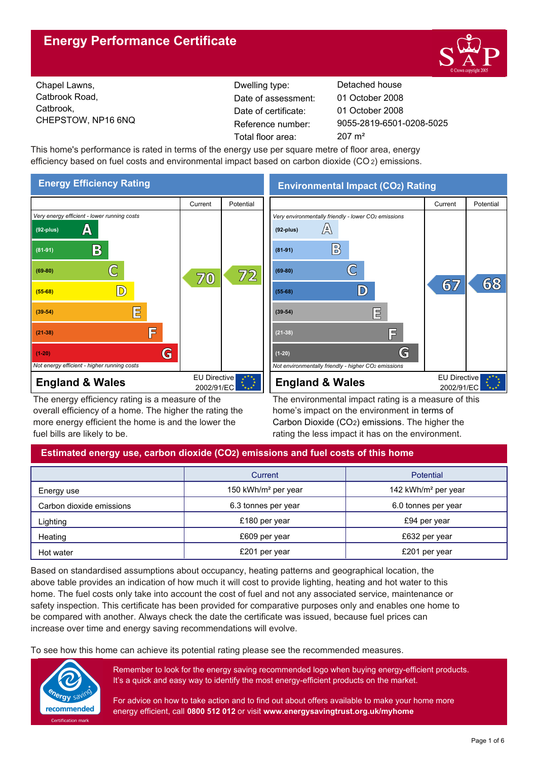# **Energy Performance Certificate**



Chapel Lawns, Catbrook Road, Catbrook, CHEPSTOW, NP16 6NQ

Dwelling type: Detached house Date of certificate: Total floor area: 207 m² Date of assessment:

9055-2819-6501-0208-5025 01 October 2008 01 October 2008

This home's performance is rated in terms of the energy use per square metre of floor area, energy efficiency based on fuel costs and environmental impact based on carbon dioxide (CO<sub>2</sub>) emissions.



The energy efficiency rating is a measure of the overall efficiency of a home. The higher the rating the more energy efficient the home is and the lower the fuel bills are likely to be.

**Environmental Impact (CO2) Rating**



The environmental impact rating is a measure of this home's impact on the environment in terms of Carbon Dioxide (CO2) emissions. The higher the rating the less impact it has on the environment.

## **Estimated energy use, carbon dioxide (CO2) emissions and fuel costs of this home**

|                          | Current                         | <b>Potential</b>                |  |
|--------------------------|---------------------------------|---------------------------------|--|
| Energy use               | 150 kWh/m <sup>2</sup> per year | 142 kWh/m <sup>2</sup> per year |  |
| Carbon dioxide emissions | 6.3 tonnes per year             | 6.0 tonnes per year             |  |
| Lighting                 | £180 per year                   | £94 per year                    |  |
| Heating                  | £609 per year                   | £632 per year                   |  |
| Hot water                | £201 per year                   | £201 per year                   |  |

Based on standardised assumptions about occupancy, heating patterns and geographical location, the above table provides an indication of how much it will cost to provide lighting, heating and hot water to this home. The fuel costs only take into account the cost of fuel and not any associated service, maintenance or safety inspection. This certificate has been provided for comparative purposes only and enables one home to be compared with another. Always check the date the certificate was issued, because fuel prices can increase over time and energy saving recommendations will evolve.

To see how this home can achieve its potential rating please see the recommended measures.



Remember to look for the energy saving recommended logo when buying energy-efficient products. It's a quick and easy way to identify the most energy-efficient products on the market.

For advice on how to take action and to find out about offers available to make your home more energy efficient, call **0800 512 012** or visit **www.energysavingtrust.org.uk/myhome**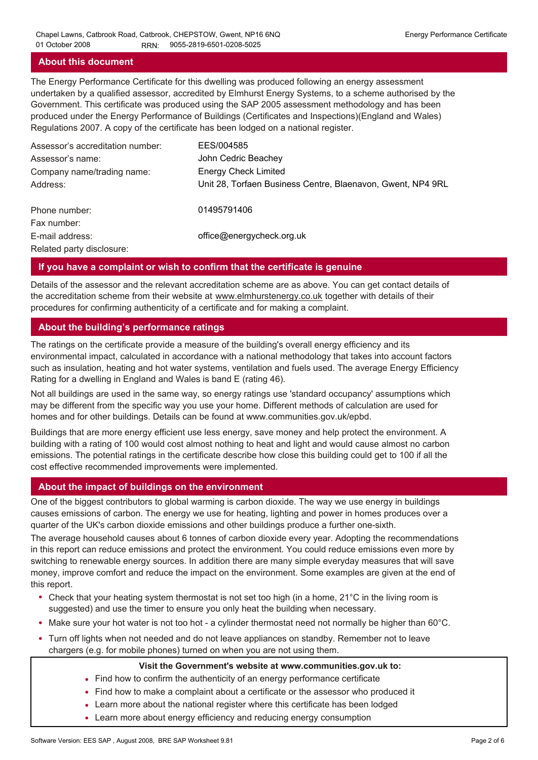#### **About this document**

The Energy Performance Certificate for this dwelling was produced following an energy assessment undertaken by a qualified assessor, accredited by Elmhurst Energy Systems, to a scheme authorised by the Government. This certificate was produced using the SAP 2005 assessment methodology and has been produced under the Energy Performance of Buildings (Certificates and Inspections)(England and Wales) Regulations 2007. A copy of the certificate has been lodged on a national register.

| Assessor's accreditation number: | EES/004585                                                  |
|----------------------------------|-------------------------------------------------------------|
| Assessor's name:                 | John Cedric Beachey                                         |
| Company name/trading name:       | <b>Energy Check Limited</b>                                 |
| Address:                         | Unit 28, Torfaen Business Centre, Blaenavon, Gwent, NP4 9RL |
| Phone number:                    | 01495791406                                                 |
| Fax number:                      |                                                             |
| E-mail address:                  | office@energycheck.org.uk                                   |
| Related party disclosure:        |                                                             |

#### **If you have a complaint or wish to confirm that the certificate is genuine**

Details of the assessor and the relevant accreditation scheme are as above. You can get contact details of the accreditation scheme from their website at www.elmhurstenergy.co.uk together with details of their procedures for confirming authenticity of a certificate and for making a complaint.

#### **About the building's performance ratings**

The ratings on the certificate provide a measure of the building's overall energy efficiency and its environmental impact, calculated in accordance with a national methodology that takes into account factors such as insulation, heating and hot water systems, ventilation and fuels used. The average Energy Efficiency Rating for a dwelling in England and Wales is band E (rating 46).

Not all buildings are used in the same way, so energy ratings use 'standard occupancy' assumptions which may be different from the specific way you use your home. Different methods of calculation are used for homes and for other buildings. Details can be found at www.communities.gov.uk/epbd.

Buildings that are more energy efficient use less energy, save money and help protect the environment. A building with a rating of 100 would cost almost nothing to heat and light and would cause almost no carbon emissions. The potential ratings in the certificate describe how close this building could get to 100 if all the cost effective recommended improvements were implemented.

## **About the impact of buildings on the environment**

One of the biggest contributors to global warming is carbon dioxide. The way we use energy in buildings causes emissions of carbon. The energy we use for heating, lighting and power in homes produces over a quarter of the UK's carbon dioxide emissions and other buildings produce a further one-sixth.

The average household causes about 6 tonnes of carbon dioxide every year. Adopting the recommendations in this report can reduce emissions and protect the environment. You could reduce emissions even more by switching to renewable energy sources. In addition there are many simple everyday measures that will save money, improve comfort and reduce the impact on the environment. Some examples are given at the end of this report.

- Check that your heating system thermostat is not set too high (in a home, 21°C in the living room is suggested) and use the timer to ensure you only heat the building when necessary.
- Make sure your hot water is not too hot a cylinder thermostat need not normally be higher than 60°C.
- Turn off lights when not needed and do not leave appliances on standby. Remember not to leave chargers (e.g. for mobile phones) turned on when you are not using them.

#### **Visit the Government's website at www.communities.gov.uk to:**

- Find how to confirm the authenticity of an energy performance certificate
- Find how to make a complaint about a certificate or the assessor who produced it •
- Learn more about the national register where this certificate has been lodged •
- Learn more about energy efficiency and reducing energy consumption •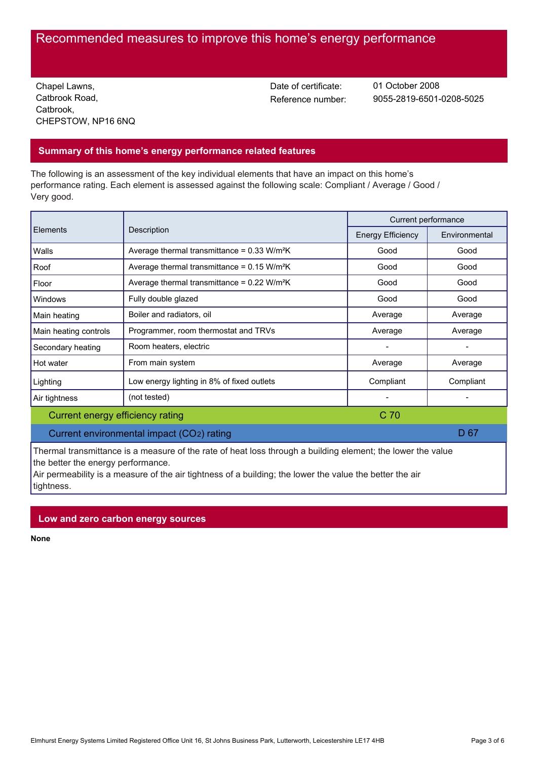## Recommended measures to improve this home's energy performance

Chapel Lawns, Catbrook Road, Catbrook, CHEPSTOW, NP16 6NQ

Date of certificate:

Reference number: 9055-2819-6501-0208-5025 01 October 2008

### **Summary of this home's energy performance related features**

The following is an assessment of the key individual elements that have an impact on this home's performance rating. Each element is assessed against the following scale: Compliant / Average / Good / Very good.

|                                           | Description                                               | Current performance      |               |
|-------------------------------------------|-----------------------------------------------------------|--------------------------|---------------|
| Elements                                  |                                                           | <b>Energy Efficiency</b> | Environmental |
| Walls                                     | Average thermal transmittance = $0.33$ W/m <sup>2</sup> K | Good                     | Good          |
| Roof                                      | Average thermal transmittance = $0.15$ W/m <sup>2</sup> K | Good                     | Good          |
| Floor                                     | Average thermal transmittance = $0.22$ W/m <sup>2</sup> K | Good                     | Good          |
| <b>Windows</b>                            | Fully double glazed                                       | Good                     | Good          |
| Main heating                              | Boiler and radiators, oil                                 | Average                  | Average       |
| Main heating controls                     | Programmer, room thermostat and TRVs                      | Average                  | Average       |
| Secondary heating                         | Room heaters, electric                                    |                          |               |
| Hot water                                 | From main system                                          | Average                  | Average       |
| Lighting                                  | Low energy lighting in 8% of fixed outlets                | Compliant                | Compliant     |
| Air tightness                             | (not tested)                                              |                          |               |
| Current energy efficiency rating          |                                                           | C 70                     |               |
| Current environmental impact (CO2) rating |                                                           |                          | D 67          |

Thermal transmittance is a measure of the rate of heat loss through a building element; the lower the value the better the energy performance.

Air permeability is a measure of the air tightness of a building; the lower the value the better the air tightness.

#### **Low and zero carbon energy sources**

**None**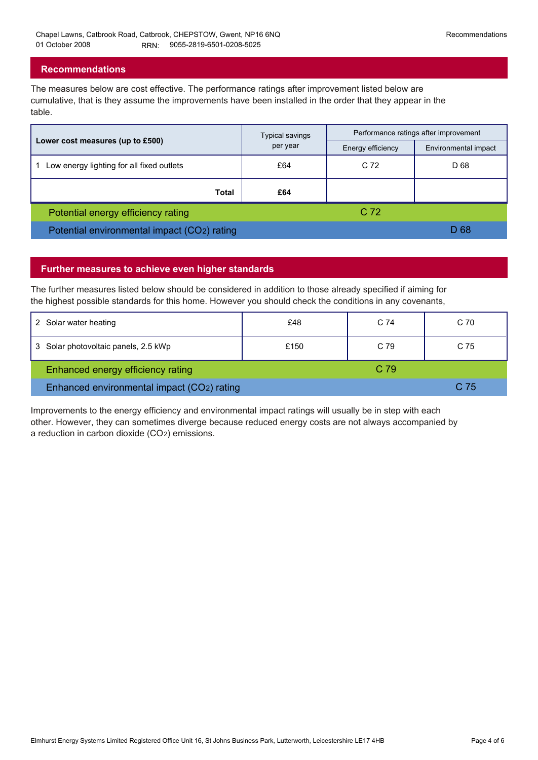#### **Recommendations**

The measures below are cost effective. The performance ratings after improvement listed below are cumulative, that is they assume the improvements have been installed in the order that they appear in the table.

|                                             | <b>Typical savings</b><br>per year | Performance ratings after improvement |                      |
|---------------------------------------------|------------------------------------|---------------------------------------|----------------------|
| Lower cost measures (up to £500)            |                                    | Energy efficiency                     | Environmental impact |
| Low energy lighting for all fixed outlets   | £64                                | C 72                                  | D 68                 |
| Total                                       | £64                                |                                       |                      |
| Potential energy efficiency rating          |                                    | C 72                                  |                      |
| Potential environmental impact (CO2) rating |                                    |                                       | D 68                 |

#### **Further measures to achieve even higher standards**

The further measures listed below should be considered in addition to those already specified if aiming for the highest possible standards for this home. However you should check the conditions in any covenants,

| 2 Solar water heating                      | £48  | C 74 | C 70 |
|--------------------------------------------|------|------|------|
| 3 Solar photovoltaic panels, 2.5 kWp       | £150 | C 79 | C 75 |
| Enhanced energy efficiency rating          |      | C 79 |      |
| Enhanced environmental impact (CO2) rating |      |      | C 75 |

Improvements to the energy efficiency and environmental impact ratings will usually be in step with each other. However, they can sometimes diverge because reduced energy costs are not always accompanied by a reduction in carbon dioxide (CO2) emissions.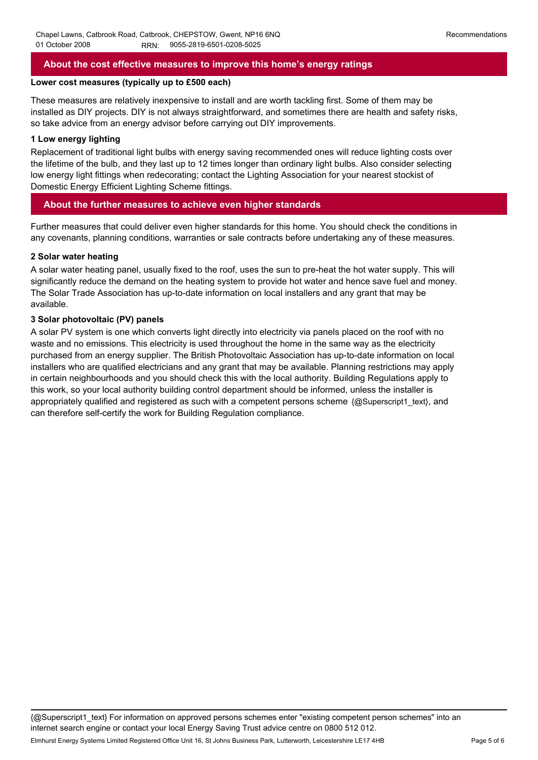## **About the cost effective measures to improve this home's energy ratings**

#### **Lower cost measures (typically up to £500 each)**

These measures are relatively inexpensive to install and are worth tackling first. Some of them may be installed as DIY projects. DIY is not always straightforward, and sometimes there are health and safety risks, so take advice from an energy advisor before carrying out DIY improvements.

#### **1 Low energy lighting**

Replacement of traditional light bulbs with energy saving recommended ones will reduce lighting costs over the lifetime of the bulb, and they last up to 12 times longer than ordinary light bulbs. Also consider selecting low energy light fittings when redecorating; contact the Lighting Association for your nearest stockist of Domestic Energy Efficient Lighting Scheme fittings.

## **About the further measures to achieve even higher standards**

Further measures that could deliver even higher standards for this home. You should check the conditions in any covenants, planning conditions, warranties or sale contracts before undertaking any of these measures.

#### **2 Solar water heating**

A solar water heating panel, usually fixed to the roof, uses the sun to pre-heat the hot water supply. This will significantly reduce the demand on the heating system to provide hot water and hence save fuel and money. The Solar Trade Association has up-to-date information on local installers and any grant that may be available.

#### **3 Solar photovoltaic (PV) panels**

A solar PV system is one which converts light directly into electricity via panels placed on the roof with no waste and no emissions. This electricity is used throughout the home in the same way as the electricity purchased from an energy supplier. The British Photovoltaic Association has up-to-date information on local installers who are qualified electricians and any grant that may be available. Planning restrictions may apply in certain neighbourhoods and you should check this with the local authority. Building Regulations apply to this work, so your local authority building control department should be informed, unless the installer is appropriately qualified and registered as such with a competent persons scheme {@Superscript1\_text}, and can therefore self-certify the work for Building Regulation compliance.